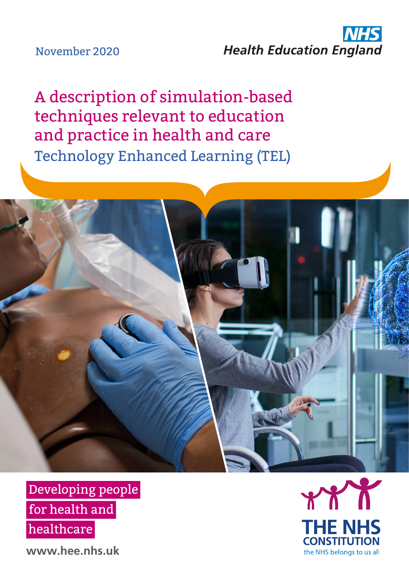### November 2020

## **NHS Health Education England**

A description of simulation-based techniques relevant to education and practice in health and care Technology Enhanced Learning (TEL)



Developing people for health and healthcare

**www.hee.nhs.uk**

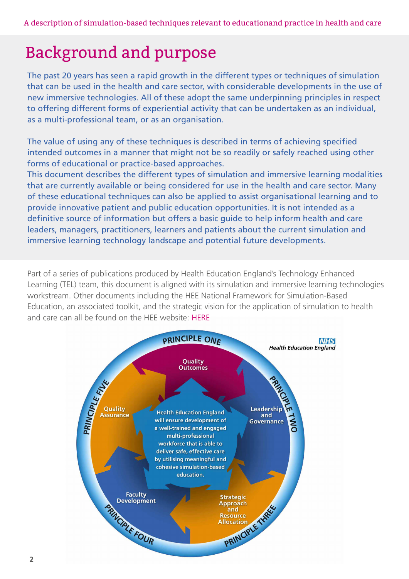# Background and purpose

The past 20 years has seen a rapid growth in the different types or techniques of simulation that can be used in the health and care sector, with considerable developments in the use of new immersive technologies. All of these adopt the same underpinning principles in respect to offering different forms of experiential activity that can be undertaken as an individual, as a multi-professional team, or as an organisation.

The value of using any of these techniques is described in terms of achieving specified intended outcomes in a manner that might not be so readily or safely reached using other forms of educational or practice-based approaches.

This document describes the different types of simulation and immersive learning modalities that are currently available or being considered for use in the health and care sector. Many of these educational techniques can also be applied to assist organisational learning and to provide innovative patient and public education opportunities. It is not intended as a definitive source of information but offers a basic guide to help inform health and care leaders, managers, practitioners, learners and patients about the current simulation and immersive learning technology landscape and potential future developments.

Part of a series of publications produced by Health Education England's Technology Enhanced Learning (TEL) team, this document is aligned with its simulation and immersive learning technologies workstream. Other documents including the HEE National Framework for Simulation-Based Education, an associated toolkit, and the strategic vision for the application of simulation to health and care can all be found on the HEE website: [HERE](https://www.hee.nhs.uk/our-work/technology-enhanced-learning/simulation-immersive-technologies#:~:text=The%20HEE%20National%20Framework%20for,quality%2C%20effective%20SBE%20across%20England.)

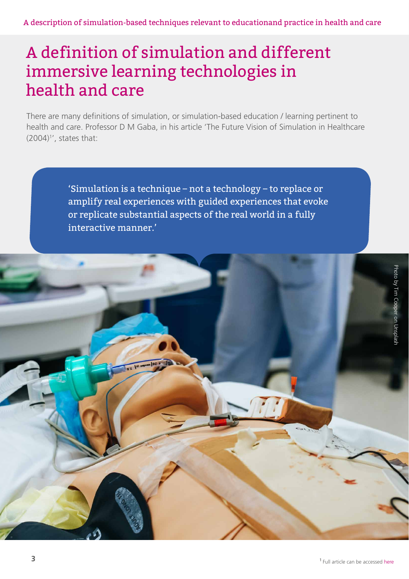## A definition of simulation and different immersive learning technologies in health and care

There are many definitions of simulation, or simulation-based education / learning pertinent to health and care. Professor D M Gaba, in his article 'The Future Vision of Simulation in Healthcare  $(2004)^{1}$ , states that:

> 'Simulation is a technique – not a technology – to replace or amplify real experiences with guided experiences that evoke or replicate substantial aspects of the real world in a fully interactive manner.'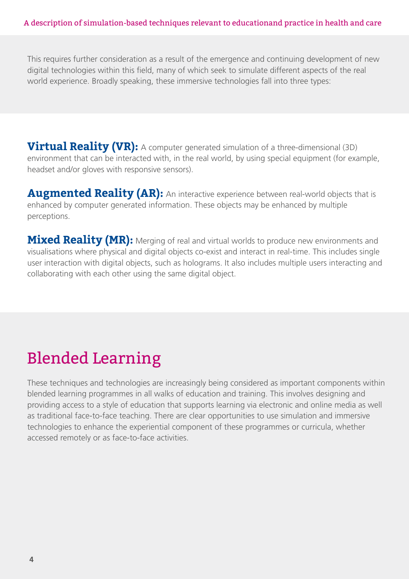This requires further consideration as a result of the emergence and continuing development of new digital technologies within this field, many of which seek to simulate different aspects of the real world experience. Broadly speaking, these immersive technologies fall into three types:

**Virtual Reality (VR):** A computer generated simulation of a three-dimensional (3D) environment that can be interacted with, in the real world, by using special equipment (for example, headset and/or gloves with responsive sensors).

**Augmented Reality (AR):** An interactive experience between real-world objects that is enhanced by computer generated information. These objects may be enhanced by multiple perceptions.

**Mixed Reality (MR):** Merging of real and virtual worlds to produce new environments and visualisations where physical and digital objects co-exist and interact in real-time. This includes single user interaction with digital objects, such as holograms. It also includes multiple users interacting and collaborating with each other using the same digital object.

# Blended Learning

These techniques and technologies are increasingly being considered as important components within blended learning programmes in all walks of education and training. This involves designing and providing access to a style of education that supports learning via electronic and online media as well as traditional face-to-face teaching. There are clear opportunities to use simulation and immersive technologies to enhance the experiential component of these programmes or curricula, whether accessed remotely or as face-to-face activities.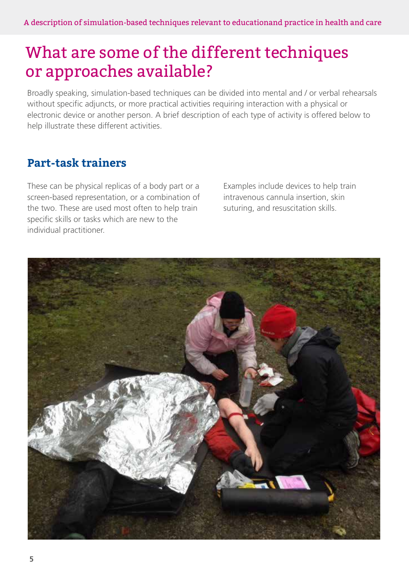## What are some of the different techniques or approaches available?

Broadly speaking, simulation-based techniques can be divided into mental and / or verbal rehearsals without specific adjuncts, or more practical activities requiring interaction with a physical or electronic device or another person. A brief description of each type of activity is offered below to help illustrate these different activities.

#### **Part-task trainers**

These can be physical replicas of a body part or a screen-based representation, or a combination of the two. These are used most often to help train specific skills or tasks which are new to the individual practitioner.

Examples include devices to help train intravenous cannula insertion, skin suturing, and resuscitation skills.

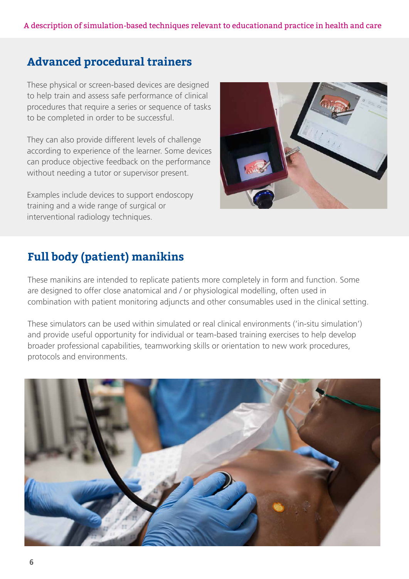### **Advanced procedural trainers**

These physical or screen-based devices are designed to help train and assess safe performance of clinical procedures that require a series or sequence of tasks to be completed in order to be successful.

They can also provide different levels of challenge according to experience of the learner. Some devices can produce objective feedback on the performance without needing a tutor or supervisor present.

Examples include devices to support endoscopy training and a wide range of surgical or interventional radiology techniques.



### **Full body (patient) manikins**

These manikins are intended to replicate patients more completely in form and function. Some are designed to offer close anatomical and / or physiological modelling, often used in combination with patient monitoring adjuncts and other consumables used in the clinical setting.

These simulators can be used within simulated or real clinical environments ('in-situ simulation') and provide useful opportunity for individual or team-based training exercises to help develop broader professional capabilities, teamworking skills or orientation to new work procedures, protocols and environments.

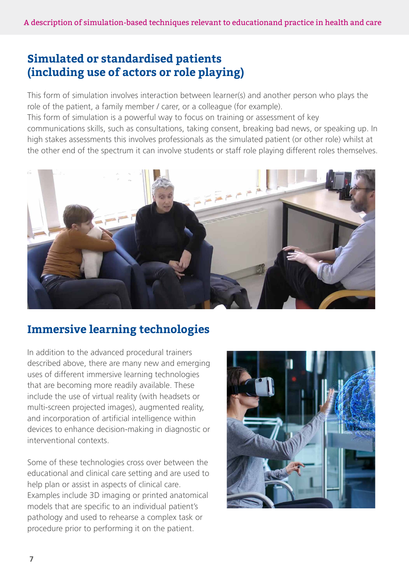### **Simulated or standardised patients (including use of actors or role playing)**

This form of simulation involves interaction between learner(s) and another person who plays the role of the patient, a family member / carer, or a colleague (for example).

This form of simulation is a powerful way to focus on training or assessment of key communications skills, such as consultations, taking consent, breaking bad news, or speaking up. In high stakes assessments this involves professionals as the simulated patient (or other role) whilst at the other end of the spectrum it can involve students or staff role playing different roles themselves.



### **Immersive learning technologies**

In addition to the advanced procedural trainers described above, there are many new and emerging uses of different immersive learning technologies that are becoming more readily available. These include the use of virtual reality (with headsets or multi-screen projected images), augmented reality, and incorporation of artificial intelligence within devices to enhance decision-making in diagnostic or interventional contexts.

Some of these technologies cross over between the educational and clinical care setting and are used to help plan or assist in aspects of clinical care. Examples include 3D imaging or printed anatomical models that are specific to an individual patient's pathology and used to rehearse a complex task or procedure prior to performing it on the patient.

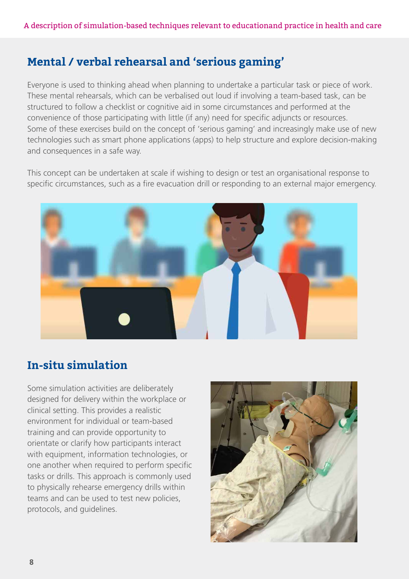### **Mental / verbal rehearsal and 'serious gaming'**

Everyone is used to thinking ahead when planning to undertake a particular task or piece of work. These mental rehearsals, which can be verbalised out loud if involving a team-based task, can be structured to follow a checklist or cognitive aid in some circumstances and performed at the convenience of those participating with little (if any) need for specific adjuncts or resources. Some of these exercises build on the concept of 'serious gaming' and increasingly make use of new technologies such as smart phone applications (apps) to help structure and explore decision-making and consequences in a safe way.

This concept can be undertaken at scale if wishing to design or test an organisational response to specific circumstances, such as a fire evacuation drill or responding to an external major emergency.



### **In-situ simulation**

Some simulation activities are deliberately designed for delivery within the workplace or clinical setting. This provides a realistic environment for individual or team-based training and can provide opportunity to orientate or clarify how participants interact with equipment, information technologies, or one another when required to perform specific tasks or drills. This approach is commonly used to physically rehearse emergency drills within teams and can be used to test new policies, protocols, and guidelines.

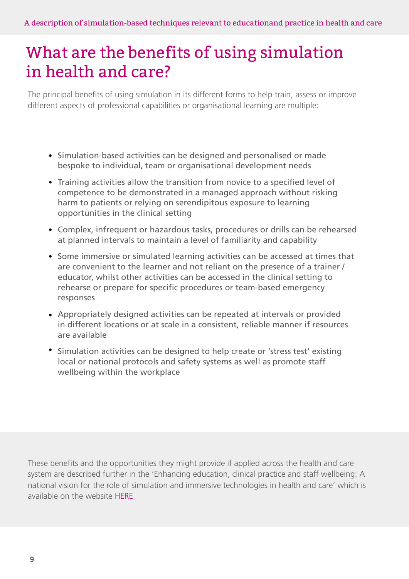## What are the benefits of using simulation in health and care?

The principal benefits of using simulation in its different forms to help train, assess or improve different aspects of professional capabilities or organisational learning are multiple:

- Simulation-based activities can be designed and personalised or made bespoke to individual, team or organisational development needs
- Training activities allow the transition from novice to a specified level of competence to be demonstrated in a managed approach without risking harm to patients or relying on serendipitous exposure to learning opportunities in the clinical setting
- Complex, infrequent or hazardous tasks, procedures or drills can be rehearsed at planned intervals to maintain a level of familiarity and capability
- Some immersive or simulated learning activities can be accessed at times that are convenient to the learner and not reliant on the presence of a trainer / educator, whilst other activities can be accessed in the clinical setting to rehearse or prepare for specific procedures or team-based emergency responses
- Appropriately designed activities can be repeated at intervals or provided in different locations or at scale in a consistent, reliable manner if resources are available
- Simulation activities can be designed to help create or 'stress test' existing local or national protocols and safety systems as well as promote staff wellbeing within the workplace

These benefits and the opportunities they might provide if applied across the health and care system are described further in the 'Enhancing education, clinical practice and staff wellbeing: A national vision for the role of simulation and immersive technologies in health and care' which is available on the websit[e HERE](https://www.hee.nhs.uk/our-work/technology-enhanced-learning/simulation-immersive-technologies#:~:text=The%20HEE%20National%20Framework%20for,quality%2C%20effective%20SBE%20across%20England.)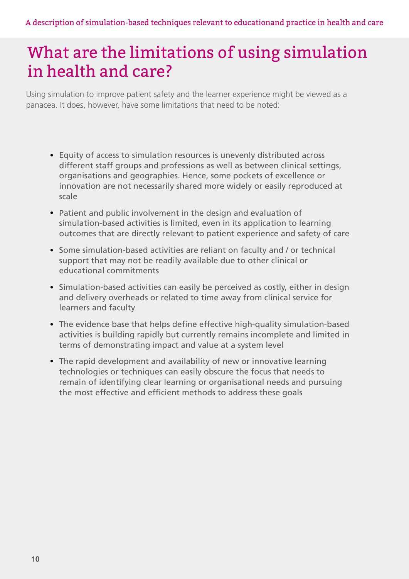## What are the limitations of using simulation in health and care?

Using simulation to improve patient safety and the learner experience might be viewed as a panacea. It does, however, have some limitations that need to be noted:

- Equity of access to simulation resources is unevenly distributed across different staff groups and professions as well as between clinical settings, organisations and geographies. Hence, some pockets of excellence or innovation are not necessarily shared more widely or easily reproduced at scale
- Patient and public involvement in the design and evaluation of simulation-based activities is limited, even in its application to learning outcomes that are directly relevant to patient experience and safety of care
- Some simulation-based activities are reliant on faculty and / or technical support that may not be readily available due to other clinical or educational commitments
- Simulation-based activities can easily be perceived as costly, either in design and delivery overheads or related to time away from clinical service for learners and faculty
- The evidence base that helps define effective high-quality simulation-based activities is building rapidly but currently remains incomplete and limited in terms of demonstrating impact and value at a system level
- The rapid development and availability of new or innovative learning technologies or techniques can easily obscure the focus that needs to remain of identifying clear learning or organisational needs and pursuing the most effective and efficient methods to address these goals